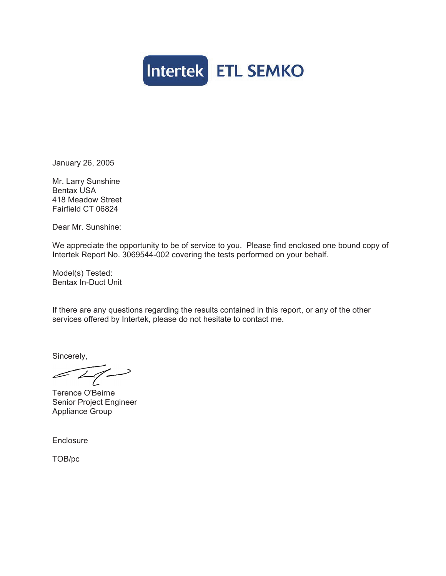

January 26, 2005

Mr. Larry Sunshine Bentax USA 418 Meadow Street Fairfield CT 06824

Dear Mr. Sunshine:

We appreciate the opportunity to be of service to you. Please find enclosed one bound copy of Intertek Report No. 3069544-002 covering the tests performed on your behalf.

Model(s) Tested: Bentax In-Duct Unit

If there are any questions regarding the results contained in this report, or any of the other services offered by Intertek, please do not hesitate to contact me.

Sincerely,

 $\sqrt{41}$ 

Terence O'Beirne Senior Project Engineer Appliance Group

**Enclosure** 

TOB/pc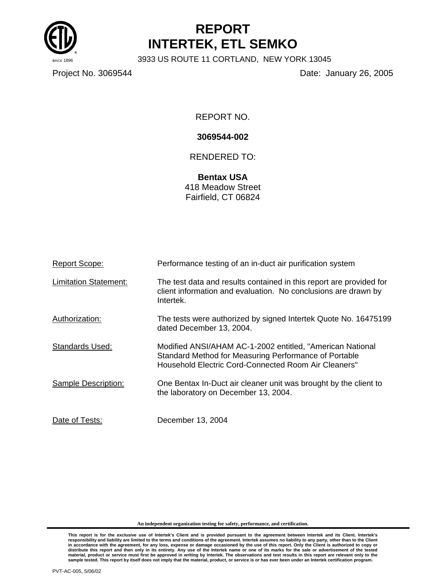

# **REPORT INTERTEK, ETL SEMKO**

3933 US ROUTE 11 CORTLAND, NEW YORK 13045

Project No. 3069544 Date: January 26, 2005

REPORT NO.

## **3069544-002**

# RENDERED TO:

**Bentax USA**  418 Meadow Street Fairfield, CT 06824

| <b>Report Scope:</b>         | Performance testing of an in-duct air purification system                                                                                                                  |
|------------------------------|----------------------------------------------------------------------------------------------------------------------------------------------------------------------------|
| <b>Limitation Statement:</b> | The test data and results contained in this report are provided for<br>client information and evaluation. No conclusions are drawn by<br>Intertek.                         |
| Authorization:               | The tests were authorized by signed Intertek Quote No. 16475199<br>dated December 13, 2004.                                                                                |
| Standards Used:              | Modified ANSI/AHAM AC-1-2002 entitled, "American National<br>Standard Method for Measuring Performance of Portable<br>Household Electric Cord-Connected Room Air Cleaners" |
| Sample Description:          | One Bentax In-Duct air cleaner unit was brought by the client to<br>the laboratory on December 13, 2004.                                                                   |
| Date of Tests:               | December 13, 2004                                                                                                                                                          |

**An independent organization testing for safety, performance, and certification.**

This report is for the exclusive use of Intertek's Client and is provided pursuant to the agreement between Intertek and its Client. Intertek's<br>responsibility and liability are limited to the terms and conditions of the ag distribute this report and then only in its entirety. Any use of the Intertek name or one of its marks for the sale or advertisement of the tested<br>material, product or service must first be approved in writing by Intertek.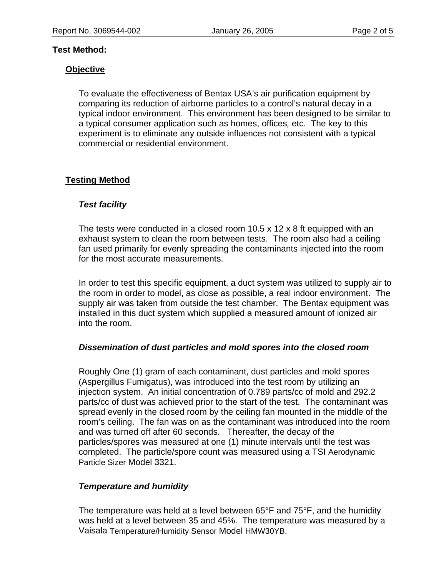#### **Test Method:**

#### **Objective**

To evaluate the effectiveness of Bentax USA's air purification equipment by comparing its reduction of airborne particles to a control's natural decay in a typical indoor environment. This environment has been designed to be similar to a typical consumer application such as homes, offices*,* etc. The key to this experiment is to eliminate any outside influences not consistent with a typical commercial or residential environment.

# **Testing Method**

#### *Test facility*

The tests were conducted in a closed room 10.5 x 12 x 8 ft equipped with an exhaust system to clean the room between tests. The room also had a ceiling fan used primarily for evenly spreading the contaminants injected into the room for the most accurate measurements.

In order to test this specific equipment, a duct system was utilized to supply air to the room in order to model, as close as possible, a real indoor environment. The supply air was taken from outside the test chamber. The Bentax equipment was installed in this duct system which supplied a measured amount of ionized air into the room.

#### *Dissemination of dust particles and mold spores into the closed room*

Roughly One (1) gram of each contaminant, dust particles and mold spores (Aspergillus Fumigatus), was introduced into the test room by utilizing an injection system. An initial concentration of 0.789 parts/cc of mold and 292.2 parts/cc of dust was achieved prior to the start of the test. The contaminant was spread evenly in the closed room by the ceiling fan mounted in the middle of the room's ceiling. The fan was on as the contaminant was introduced into the room and was turned off after 60 seconds. Thereafter, the decay of the particles/spores was measured at one (1) minute intervals until the test was completed. The particle/spore count was measured using a TSI Aerodynamic Particle Sizer Model 3321.

#### *Temperature and humidity*

The temperature was held at a level between 65°F and 75°F, and the humidity was held at a level between 35 and 45%. The temperature was measured by a Vaisala Temperature/Humidity Sensor Model HMW30YB.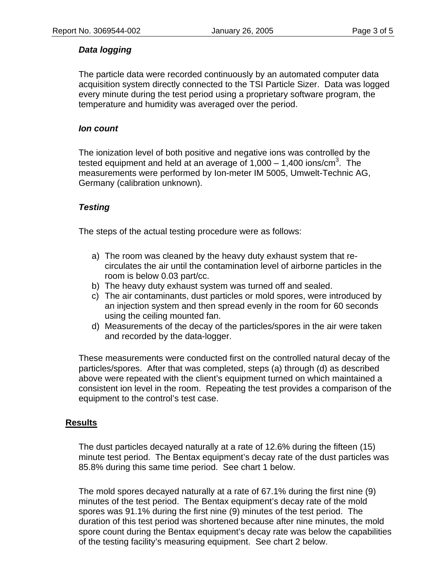# *Data logging*

The particle data were recorded continuously by an automated computer data acquisition system directly connected to the TSI Particle Sizer. Data was logged every minute during the test period using a proprietary software program, the temperature and humidity was averaged over the period.

# *Ion count*

The ionization level of both positive and negative ions was controlled by the tested equipment and held at an average of 1,000  $-$  1,400 ions/cm<sup>3</sup>. The measurements were performed by Ion-meter IM 5005, Umwelt-Technic AG, Germany (calibration unknown).

# *Testing*

The steps of the actual testing procedure were as follows:

- a) The room was cleaned by the heavy duty exhaust system that recirculates the air until the contamination level of airborne particles in the room is below 0.03 part/cc.
- b) The heavy duty exhaust system was turned off and sealed.
- c) The air contaminants, dust particles or mold spores, were introduced by an injection system and then spread evenly in the room for 60 seconds using the ceiling mounted fan.
- d) Measurements of the decay of the particles/spores in the air were taken and recorded by the data-logger.

These measurements were conducted first on the controlled natural decay of the particles/spores. After that was completed, steps (a) through (d) as described above were repeated with the client's equipment turned on which maintained a consistent ion level in the room. Repeating the test provides a comparison of the equipment to the control's test case.

# **Results**

The dust particles decayed naturally at a rate of 12.6% during the fifteen (15) minute test period. The Bentax equipment's decay rate of the dust particles was 85.8% during this same time period. See chart 1 below.

The mold spores decayed naturally at a rate of 67.1% during the first nine (9) minutes of the test period. The Bentax equipment's decay rate of the mold spores was 91.1% during the first nine (9) minutes of the test period. The duration of this test period was shortened because after nine minutes, the mold spore count during the Bentax equipment's decay rate was below the capabilities of the testing facility's measuring equipment. See chart 2 below.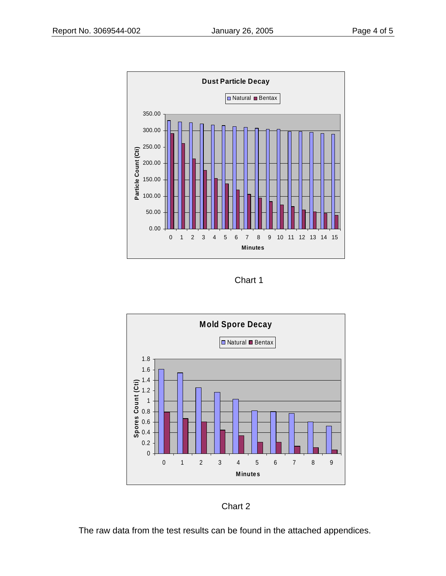

Chart 1



Chart 2

The raw data from the test results can be found in the attached appendices.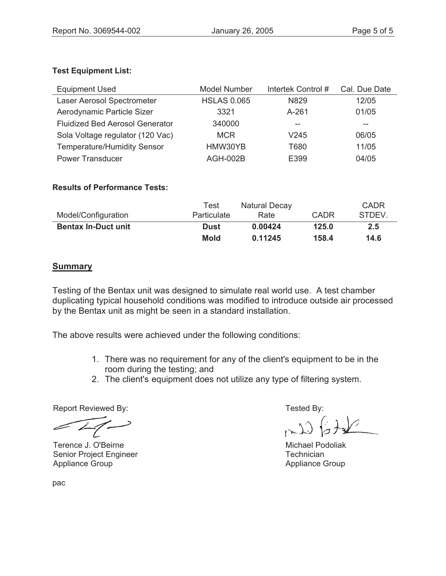# **Test Equipment List:**

| <b>Equipment Used</b>                  | <b>Model Number</b> | Intertek Control# | Cal. Due Date |
|----------------------------------------|---------------------|-------------------|---------------|
| Laser Aerosol Spectrometer             | <b>HSLAS 0.065</b>  | N829              | 12/05         |
| Aerodynamic Particle Sizer             | 3321                | $A - 261$         | 01/05         |
| <b>Fluidized Bed Aerosol Generator</b> | 340000              | --                | --            |
| Sola Voltage regulator (120 Vac)       | <b>MCR</b>          | V <sub>245</sub>  | 06/05         |
| <b>Temperature/Humidity Sensor</b>     | HMW30YB             | T680              | 11/05         |
| <b>Power Transducer</b>                | <b>AGH-002B</b>     | E399              | 04/05         |

### **Results of Performance Tests:**

| Model/Configuration        | Test<br><b>Particulate</b> | <b>Natural Decay</b><br>Rate | CADR  | CADR<br>STDEV. |
|----------------------------|----------------------------|------------------------------|-------|----------------|
| <b>Bentax In-Duct unit</b> | Dust                       | 0.00424                      | 125.0 | 2.5            |
|                            | <b>Mold</b>                | 0.11245                      | 158.4 | 14.6           |

# **Summary**

Testing of the Bentax unit was designed to simulate real world use. A test chamber duplicating typical household conditions was modified to introduce outside air processed by the Bentax unit as might be seen in a standard installation.

The above results were achieved under the following conditions:

- 1. There was no requirement for any of the client's equipment to be in the room during the testing; and
- 2. The client's equipment does not utilize any type of filtering system.

Report Reviewed By: Tested By:

Terence J. O'Beirne Senior Project Engineer Appliance Group

 Michael Podoliak **Technician** Appliance Group

pac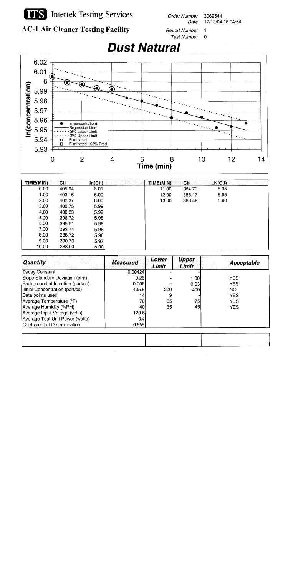

# **TTS** Intertek Testing Services

**Order Number** 3069544 Date 12/13/04 16:04:54



**Report Number**  $\mathbf{1}$ **Test Number**  $\mathbf 0$ 





| TIME(MIN) | Cti    | In(Cti) | TIME(MIN) | Cti    | LN(Cti) |  |
|-----------|--------|---------|-----------|--------|---------|--|
| 0.00      | 405.64 | 6.01    | 11.00     | 384.73 | 5.95    |  |
| 1.00      | 403.16 | 6.00    | 12.00     | 385.17 | 5.95    |  |
| 2.00      | 402.37 | 6.00    | 13.00     | 386.49 | 5.96    |  |
| 3.00      | 400.75 | 5.99    |           |        |         |  |
| 4.00      | 400.33 | 5.99    |           |        |         |  |
| 5.00      | 396.72 | 5.98    |           |        |         |  |
| 6.00      | 395.51 | 5.98    |           |        |         |  |
| 7.00      | 393.74 | 5.98    |           |        |         |  |
| 8.00      | 388.72 | 5.96    |           |        |         |  |
| 9.00      | 390.73 | 5.97    |           |        |         |  |
| 10.00     | 388.90 | 5.96    |           |        |         |  |

| <b>Quantity</b>                   | <b>Measured</b> | Lower<br>Limit | <b>Upper</b><br><b>Limit</b> | <b>Acceptable</b> |
|-----------------------------------|-----------------|----------------|------------------------------|-------------------|
| Decay Constant                    | 0.00424         |                |                              |                   |
| Slope Standard Deviation (cfm)    | 0.26            |                | 1.00                         | <b>YES</b>        |
| Background at Injection (part/cc) | 0.006           |                | 0.03                         | <b>YES</b>        |
| Initial Concentration (part/cc)   | 405.6           | 200            | 400                          | NO.               |
| Data points used                  | 14              | 9              |                              | <b>YES</b>        |
| Average Temperature (°F)          | 70              | 65             | 75                           | <b>YES</b>        |
| Average Humidity (%RH)            | 40              | 35             | 45                           | <b>YES</b>        |
| Average Input Voltage (volts)     | 120.61          |                |                              |                   |
| Average Test Unit Power (watts)   | 0.41            |                |                              |                   |
| Coefficient of Determination      | 0.958           |                |                              |                   |

| _______ |  |
|---------|--|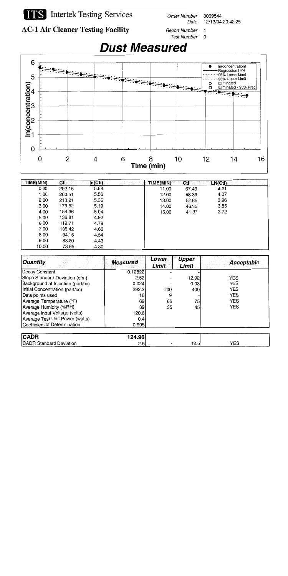

**Order Number** 3069544 Date 12/13/04 20:42:25

**AC-1 Air Cleaner Testing Facility** 

**Report Number**  $\mathbf{1}$ Test Number 0



| TIME(MIN) | Cti    | In(Cti) | <u>Taria</u> | TIME(MIN) | Cti   | LN(Cti) |  |
|-----------|--------|---------|--------------|-----------|-------|---------|--|
| 0.00      | 292.15 | 5.68    |              | 11.00     | 67.49 | 4.21    |  |
| 1.00      | 260.51 | 5.56    |              | 12.00     | 58.39 | 4.07    |  |
| 2.00      | 213.21 | 5.36    |              | 13.00     | 52.65 | 3.96    |  |
| 3.00      | 179.52 | 5.19    |              | 14.00     | 46.85 | 3.85    |  |
| 4.00      | 154.36 | 5.04    |              | 15.00     | 41.37 | 3.72    |  |
| 5.00      | 136.81 | 4.92    |              |           |       |         |  |
| 6.00      | 119.71 | 4.79    |              |           |       |         |  |
| 7.00      | 105.42 | 4.66    |              |           |       |         |  |
| 8.00      | 94.15  | 4.54    |              |           |       |         |  |
| 9.00      | 83.80  | 4.43    |              |           |       |         |  |
| 10.00     | 73.65  | 4.30    |              |           |       |         |  |

| <b>Quantity</b>                   | <b>Measured</b> | Lower<br>Limit | <b>Upper</b><br>Limit | Acceptable |
|-----------------------------------|-----------------|----------------|-----------------------|------------|
| <b>Decay Constant</b>             | 0.12822         |                |                       |            |
| Slope Standard Deviation (cfm)    | 2.52            |                | 12.92                 | <b>YES</b> |
| Background at Injection (part/cc) | 0.024           |                | 0.03                  | <b>YES</b> |
| Initial Concentration (part/cc)   | 292.2           | 200            | 400                   | <b>YES</b> |
| Data points used                  | 16              |                |                       | <b>YES</b> |
| Average Temperature (°F)          | 69              | 65             | 75                    | <b>YES</b> |
| Average Humidity (%RH)            | 39              | 35             | 45                    | <b>YES</b> |
| Average Input Voltage (volts)     | 120.6           |                |                       |            |
| Average Test Unit Power (watts)   | 0.41            |                |                       |            |
| Coefficient of Determination      | 0.995           |                |                       |            |
|                                   |                 |                |                       |            |
| <b>CADR</b>                       | 124.96 l        |                |                       |            |

.э  $12.5$ **YES**  $2.5$ **CADR Standard Deviation**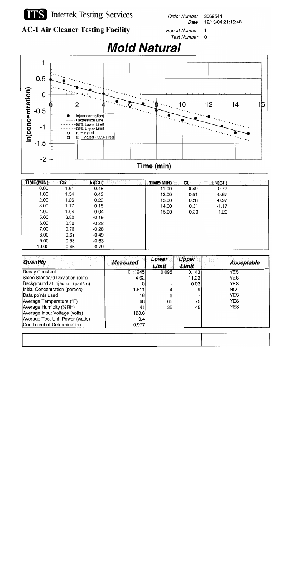

**ITS** Intertek Testing Services

**Order Number** 3069544 12/13/04 21:15:48 Date



**Report Number**  $\mathbf{1}$ **Test Number**  $\mathbf 0$ 

 $\mathbf 1$  $0.5$ In(concentration)  $\mathbf 0$  $12$  $14$  $16$  $10$  $-0.5$ In(concentration) Regression Line 95% Lower Limit  $-1$ 95% Upper Limit Eliminated  $\circ$ Eliminated - 95% Pred  $\Box$  $-1.5$  $-2$ Time (min)

| TIME(MIN) | Cti  | In(Cti) | TIME(MIN) | Cti  | LN(Cti) |  |
|-----------|------|---------|-----------|------|---------|--|
| 0.00      | 1.61 | 0.48    | 11.00     | 0.49 | $-0.72$ |  |
| 1.00      | 1.54 | 0.43    | 12.00     | 0.51 | $-0.67$ |  |
| 2.00      | 1.26 | 0.23    | 13.00     | 0.38 | $-0.97$ |  |
| 3.00      | 1.17 | 0.15    | 14.00     | 0.31 | $-1.17$ |  |
| 4.00      | 1.04 | 0.04    | 15.00     | 0.30 | $-1.20$ |  |
| 5.00      | 0.82 | $-0.19$ |           |      |         |  |
| 6.00      | 0.80 | $-0.22$ |           |      |         |  |
| 7.00      | 0.76 | $-0.28$ |           |      |         |  |
| 8.00      | 0.61 | $-0.49$ |           |      |         |  |
| 9.00      | 0.53 | $-0.63$ |           |      |         |  |
| 10.00     | 0.46 | $-0.79$ |           |      |         |  |

| <b>Quantity</b>                   | <b>Measured</b> | Lower<br>Limit | <b>Upper</b><br><b>Limit</b> | <b>Acceptable</b> |
|-----------------------------------|-----------------|----------------|------------------------------|-------------------|
| <b>Decay Constant</b>             | 0.11245         | 0.095          | 0.143                        | <b>YES</b>        |
| Slope Standard Deviation (cfm)    | 4.62            |                | 11.33                        | <b>YES</b>        |
| Background at Injection (part/cc) |                 |                | 0.03                         | <b>YES</b>        |
| Initial Concentration (part/cc)   | 1.611           |                | 9                            | NO.               |
| Data points used                  | 16              | 5              |                              | <b>YES</b>        |
| Average Temperature (°F)          | 68              | 65             | 75                           | <b>YES</b>        |
| Average Humidity (%RH)            | 41              | 35             | 45                           | <b>YES</b>        |
| Average Input Voltage (volts)     | 120.61          |                |                              |                   |
| Average Test Unit Power (watts)   | 0.4             |                |                              |                   |
| Coefficient of Determination      | 0.977           |                |                              |                   |

| ----- | ----- |  |
|-------|-------|--|
|       |       |  |
|       |       |  |
|       |       |  |
|       |       |  |
|       |       |  |
|       |       |  |
|       |       |  |
|       |       |  |

# **Mold Natural**